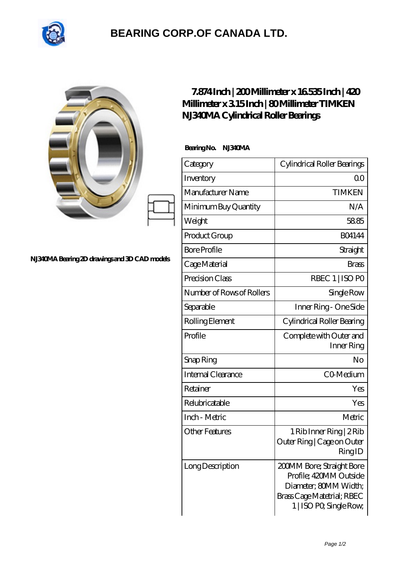

## **[BEARING CORP.OF CANADA LTD.](https://m.2sintermetalltechnik.de)**

|                                               | 7.874 Inch   200 Millimeter x 16535 Inch   420<br>Millimeter x 315Inch   80Millimeter TIMKEN<br>N.B40MA Cylindrical Roller Bearings |                                                                                                                                       |
|-----------------------------------------------|-------------------------------------------------------------------------------------------------------------------------------------|---------------------------------------------------------------------------------------------------------------------------------------|
| NJ340MA Bearing 2D drawings and 3D CAD models | BearingNo. NJ340MA                                                                                                                  |                                                                                                                                       |
|                                               | Category                                                                                                                            | Cylindrical Roller Bearings                                                                                                           |
|                                               | Inventory                                                                                                                           | 0 <sup>0</sup>                                                                                                                        |
|                                               | Manufacturer Name                                                                                                                   | <b>TIMKEN</b>                                                                                                                         |
|                                               | Minimum Buy Quantity                                                                                                                | N/A                                                                                                                                   |
|                                               | Weight                                                                                                                              | 5885                                                                                                                                  |
|                                               | Product Group                                                                                                                       | <b>BO4144</b>                                                                                                                         |
|                                               | <b>Bore Profile</b>                                                                                                                 | Straight                                                                                                                              |
|                                               | Cage Material                                                                                                                       | <b>Brass</b>                                                                                                                          |
|                                               | Precision Class                                                                                                                     | RBEC 1   ISO PO                                                                                                                       |
|                                               | Number of Rows of Rollers                                                                                                           | Single Row                                                                                                                            |
|                                               | Separable                                                                                                                           | Inner Ring - One Side                                                                                                                 |
|                                               | Rolling Element                                                                                                                     | Cylindrical Roller Bearing                                                                                                            |
|                                               | Profile                                                                                                                             | Complete with Outer and<br>Inner Ring                                                                                                 |
|                                               | Snap Ring                                                                                                                           | No                                                                                                                                    |
|                                               | Internal Clearance                                                                                                                  | CO-Medium                                                                                                                             |
|                                               | Retainer                                                                                                                            | Yes                                                                                                                                   |
|                                               | Relubricatable                                                                                                                      | Yes                                                                                                                                   |
|                                               | Inch - Metric                                                                                                                       | Metric                                                                                                                                |
|                                               | <b>Other Features</b>                                                                                                               | 1 Rib Inner Ring   2 Rib<br>Outer Ring   Cage on Outer<br>RingID                                                                      |
|                                               | Long Description                                                                                                                    | 200MM Bore; Straight Bore<br>Profile; 420MM Outside<br>Diameter; 80MM Width;<br>Brass Cage Matetrial; RBEC<br>1   ISO PO, Single Row, |